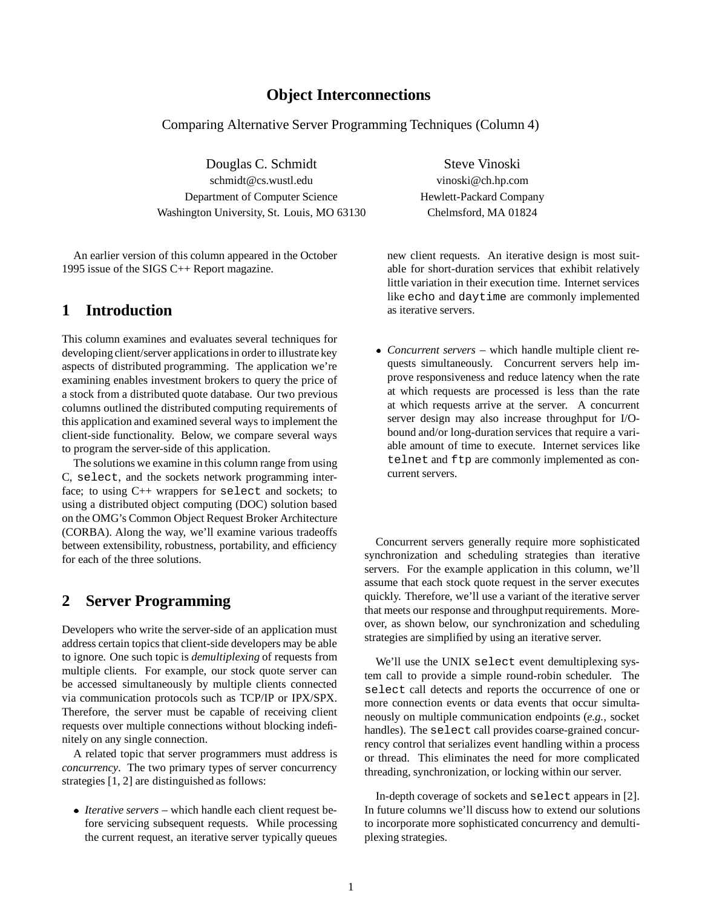## **Object Interconnections**

Comparing Alternative Server Programming Techniques (Column 4)

Douglas C. Schmidt Steve Vinoski schmidt@cs.wustl.edu vinoski@ch.hp.com Department of Computer Science Hewlett-Packard Company Washington University, St. Louis, MO 63130 Chelmsford, MA 01824

An earlier version of this column appeared in the October 1995 issue of the SIGS C++ Report magazine.

# **1 Introduction**

This column examines and evaluates several techniques for developing client/server applications in order to illustrate key aspects of distributed programming. The application we're examining enables investment brokers to query the price of a stock from a distributed quote database. Our two previous columns outlined the distributed computing requirements of this application and examined several ways to implement the client-side functionality. Below, we compare several ways to program the server-side of this application.

The solutions we examine in this column range from using C, select, and the sockets network programming interface; to using C++ wrappers for select and sockets; to using a distributed object computing (DOC) solution based on the OMG's Common Object Request Broker Architecture (CORBA). Along the way, we'll examine various tradeoffs between extensibility, robustness, portability, and efficiency for each of the three solutions.

# **2 Server Programming**

Developers who write the server-side of an application must address certain topics that client-side developers may be able to ignore. One such topic is *demultiplexing* of requests from multiple clients. For example, our stock quote server can be accessed simultaneously by multiple clients connected via communication protocols such as TCP/IP or IPX/SPX. Therefore, the server must be capable of receiving client requests over multiple connections without blocking indefinitely on any single connection.

A related topic that server programmers must address is *concurrency*. The two primary types of server concurrency strategies [1, 2] are distinguished as follows:

 *Iterative servers* – which handle each client request before servicing subsequent requests. While processing the current request, an iterative server typically queues

new client requests. An iterative design is most suitable for short-duration services that exhibit relatively little variation in their execution time. Internet services like echo and daytime are commonly implemented as iterative servers.

 *Concurrent servers* – which handle multiple client requests simultaneously. Concurrent servers help improve responsiveness and reduce latency when the rate at which requests are processed is less than the rate at which requests arrive at the server. A concurrent server design may also increase throughput for I/Obound and/or long-duration services that require a variable amount of time to execute. Internet services like telnet and ftp are commonly implemented as concurrent servers.

Concurrent servers generally require more sophisticated synchronization and scheduling strategies than iterative servers. For the example application in this column, we'll assume that each stock quote request in the server executes quickly. Therefore, we'll use a variant of the iterative server that meets our response and throughput requirements. Moreover, as shown below, our synchronization and scheduling strategies are simplified by using an iterative server.

We'll use the UNIX select event demultiplexing system call to provide a simple round-robin scheduler. The select call detects and reports the occurrence of one or more connection events or data events that occur simultaneously on multiple communication endpoints (*e.g.,* socket handles). The select call provides coarse-grained concurrency control that serializes event handling within a process or thread. This eliminates the need for more complicated threading, synchronization, or locking within our server.

In-depth coverage of sockets and select appears in [2]. In future columns we'll discuss how to extend our solutions to incorporate more sophisticated concurrency and demultiplexing strategies.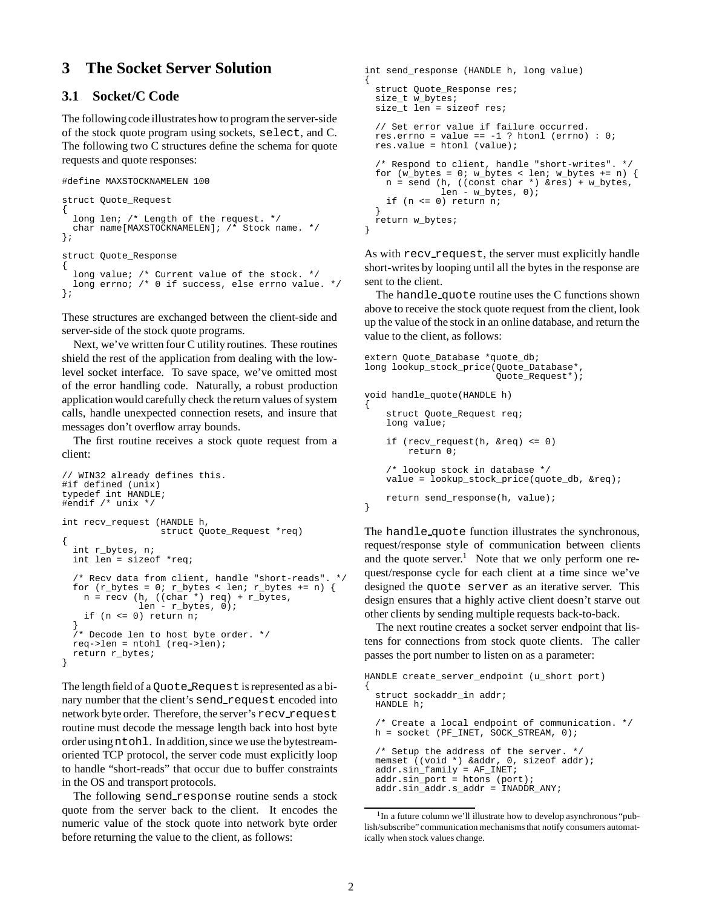## **3 The Socket Server Solution**

#### **3.1 Socket/C Code**

The following code illustrates how to program the server-side of the stock quote program using sockets, select, and C. The following two C structures define the schema for quote requests and quote responses:

```
#define MAXSTOCKNAMELEN 100
struct Quote_Request
{
  long len; /* Length of the request. */
 char name[MAXSTOCKNAMELEN]; /* Stock name. */
};
struct Quote_Response
{
  long value; /* Current value of the stock. */
  long errno; /* 0 if success, else errno value. */
};
```
These structures are exchanged between the client-side and server-side of the stock quote programs.

Next, we've written four C utility routines. These routines shield the rest of the application from dealing with the lowlevel socket interface. To save space, we've omitted most of the error handling code. Naturally, a robust production application would carefully check the return values of system calls, handle unexpected connection resets, and insure that messages don't overflow array bounds.

The first routine receives a stock quote request from a client:

```
// WIN32 already defines this.
#if defined (unix)
typedef int HANDLE;
#endif /* unix */
int recv_request (HANDLE h,
                  struct Quote_Request *req)
{
 int r_bytes, n;
 int len = sizeof *req;
  /* Recv data from client, handle "short-reads". */
 for (r_bytes = 0; r_bytes < len; r_bytes += n) {
   n = recv (h, ((char *) req) + r_bytes,
              len - r_bytes, 0);
   if (n <= 0) return n;
  }
  /* Decode len to host byte order. */
 req->len = ntohl (req->len);
 return r_bytes;
}
```
The length field of a Quote Request is represented as a binary number that the client's send\_request encoded into network byte order. Therefore, the server's recv\_request routine must decode the message length back into host byte order usingntohl. In addition, since we use the bytestreamoriented TCP protocol, the server code must explicitly loop to handle "short-reads" that occur due to buffer constraints in the OS and transport protocols.

The following send response routine sends a stock quote from the server back to the client. It encodes the numeric value of the stock quote into network byte order before returning the value to the client, as follows:

```
int send_response (HANDLE h, long value)
{
 struct Quote_Response res;
 size_t w_bytes;
 size_t len = sizeof res;
 // Set error value if failure occurred.
 res.errno = value == -1 ? htonl (errno) : 0;
 res.value = htonl (value);
  /* Respond to client, handle "short-writes". */
 for (w_bytes = 0; w_bytes < len; w_bytes += n) {
   n = send (h, ((const char *) &res) + w_bytes,
              len - w_bytes, 0);
    if (n <= 0) return n;
  }
 return w_bytes;
}
```
As with recv\_request, the server must explicitly handle short-writes by looping until all the bytes in the response are sent to the client.

The handle quote routine uses the C functions shown above to receive the stock quote request from the client, look up the value of the stock in an online database, and return the value to the client, as follows:

```
extern Quote Database *quote db;
long lookup_stock_price(Quote_Database*,
                        Quote_Request*);
void handle_quote(HANDLE h)
{
    struct Quote_Request req;
    long value;
    if (recv_request(h, &req) <= 0)
        return 0;
    /* lookup stock in database */
    value = lookup_stock_price(quote_db, &req);
    return send_response(h, value);
}
```
The handle quote function illustrates the synchronous, request/response style of communication between clients and the quote server.<sup>1</sup> Note that we only perform one request/response cycle for each client at a time since we've designed the quote server as an iterative server. This design ensures that a highly active client doesn't starve out other clients by sending multiple requests back-to-back.

The next routine creates a socket server endpoint that listens for connections from stock quote clients. The caller passes the port number to listen on as a parameter:

```
HANDLE create_server_endpoint (u_short port)
{
```

```
struct sockaddr_in addr;
HANDLE h;
/* Create a local endpoint of communication. */
h = socket (PF_INET, SOCK_STREAM, 0);
/* Setup the address of the server. */
memset ((void *) &addr, 0, sizeof addr);
addr.sin_family = AF_INET;
addr.sin_port = htons (port);
addr.sin_addr.s_addr = INADDR_ANY;
```
<sup>&</sup>lt;sup>1</sup>In a future column we'll illustrate how to develop asynchronous "publish/subscribe" communication mechanisms that notify consumers automatically when stock values change.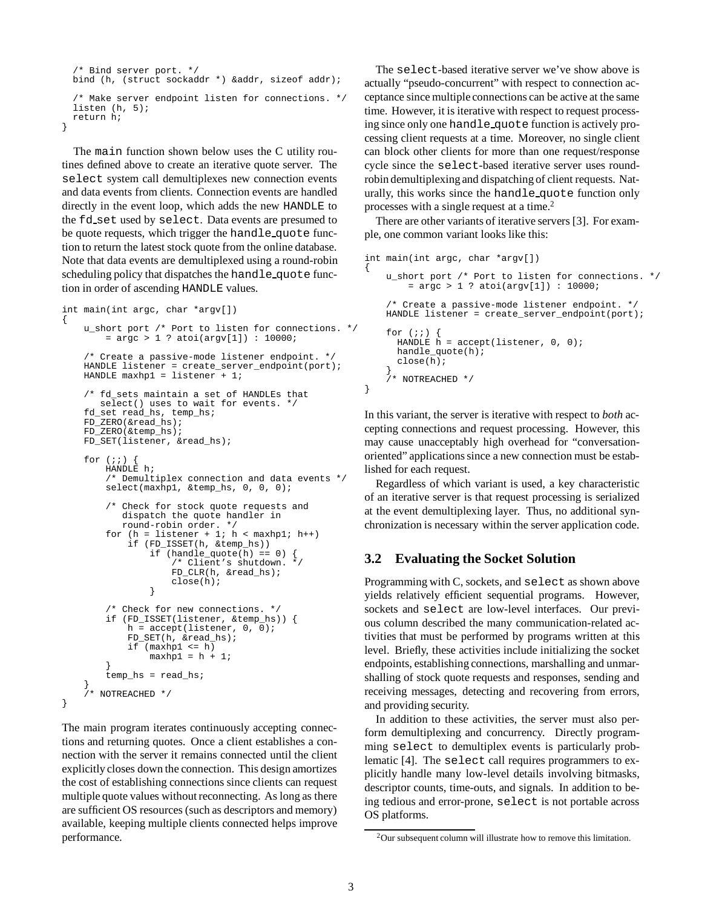```
/* Bind server port. */
bind (h, (struct sockaddr *) &addr, sizeof addr);
/* Make server endpoint listen for connections. */
listen (h, 5);
return h;
```
}

The main function shown below uses the C utility routines defined above to create an iterative quote server. The select system call demultiplexes new connection events and data events from clients. Connection events are handled directly in the event loop, which adds the new HANDLE to the fd set used by select. Data events are presumed to be quote requests, which trigger the handle quote function to return the latest stock quote from the online database. Note that data events are demultiplexed using a round-robin scheduling policy that dispatches the handle quote function in order of ascending HANDLE values.

```
int main(int argc, char *argv[])
{
    u_short port /* Port to listen for connections. */
        = argc > 1 ? atoi(argv[1]) : 10000;
    /* Create a passive-mode listener endpoint. */
    HANDLE listener = create_server_endpoint(port);
    HANDLE maxhp1 = listener + 1;
    /* fd_sets maintain a set of HANDLEs that
       select() uses to wait for events. */
    fd_set read_hs, temp_hs;
    FD_ZERO(&read_hs);
    FD_ZERO(&temp_hs);
    FD_SET(listener, &read_hs);
    for (i; j)HANDLE h;
        /* Demultiplex connection and data events */
        select(maxhp1, &temp_hs, 0, 0, 0);
        /* Check for stock quote requests and
           dispatch the quote handler in
           round-robin order. */
        for (h = listener + 1; h < maxhpl; h++)if (FD_ISSET(h, &temp_hs))
                if (handle_quote(h) == 0)* Client's shutdown.
                    FD_CLR(h, &read_hs);
                    close(h);
                }
        /* Check for new connections. */
        if (FD_ISSET(listener, &temp_hs)) {
            h = accept(listener, 0, 0);FD_SET(h, &read_hs);
            if (maxhp1 \leq h)maxhp1 = h + 1;
        }
        temp hs = read hs;
    }
     /* NOTREACHED */
}
```
The main program iterates continuously accepting connections and returning quotes. Once a client establishes a connection with the server it remains connected until the client explicitly closes down the connection. This design amortizes the cost of establishing connections since clients can request multiple quote values without reconnecting. As long as there are sufficient OS resources (such as descriptors and memory) available, keeping multiple clients connected helps improve performance.

The select-based iterative server we've show above is actually "pseudo-concurrent" with respect to connection acceptance since multiple connections can be active at the same time. However, it is iterative with respect to request processing since only one handle quote function is actively processing client requests at a time. Moreover, no single client can block other clients for more than one request/response cycle since the select-based iterative server uses roundrobin demultiplexing and dispatching of client requests. Naturally, this works since the handle quote function only processes with a single request at a time.<sup>2</sup>

There are other variants of iterative servers [3]. For example, one common variant looks like this:

```
int main(int argc, char *argv[])
{
    u_short port /* Port to listen for connections. */
        = argc > 1 ? atoi(argv[1]) : 10000;
    /* Create a passive-mode listener endpoint. */
    HANDLE listener = create_server_endpoint(port);
    for (i; j)HANDLE h = accept(listener, 0, 0);handle_quote(h);
      close(h);
    }
    /* NOTREACHED */
}
```
In this variant, the server is iterative with respect to *both* accepting connections and request processing. However, this may cause unacceptably high overhead for "conversationoriented" applications since a new connection must be established for each request.

Regardless of which variant is used, a key characteristic of an iterative server is that request processing is serialized at the event demultiplexing layer. Thus, no additional synchronization is necessary within the server application code.

## **3.2 Evaluating the Socket Solution**

Programming with C, sockets, and select as shown above yields relatively efficient sequential programs. However, sockets and select are low-level interfaces. Our previous column described the many communication-related activities that must be performed by programs written at this level. Briefly, these activities include initializing the socket endpoints, establishing connections, marshalling and unmarshalling of stock quote requests and responses, sending and receiving messages, detecting and recovering from errors, and providing security.

In addition to these activities, the server must also perform demultiplexing and concurrency. Directly programming select to demultiplex events is particularly problematic [4]. The select call requires programmers to explicitly handle many low-level details involving bitmasks, descriptor counts, time-outs, and signals. In addition to being tedious and error-prone, select is not portable across OS platforms.

<sup>&</sup>lt;sup>2</sup>Our subsequent column will illustrate how to remove this limitation.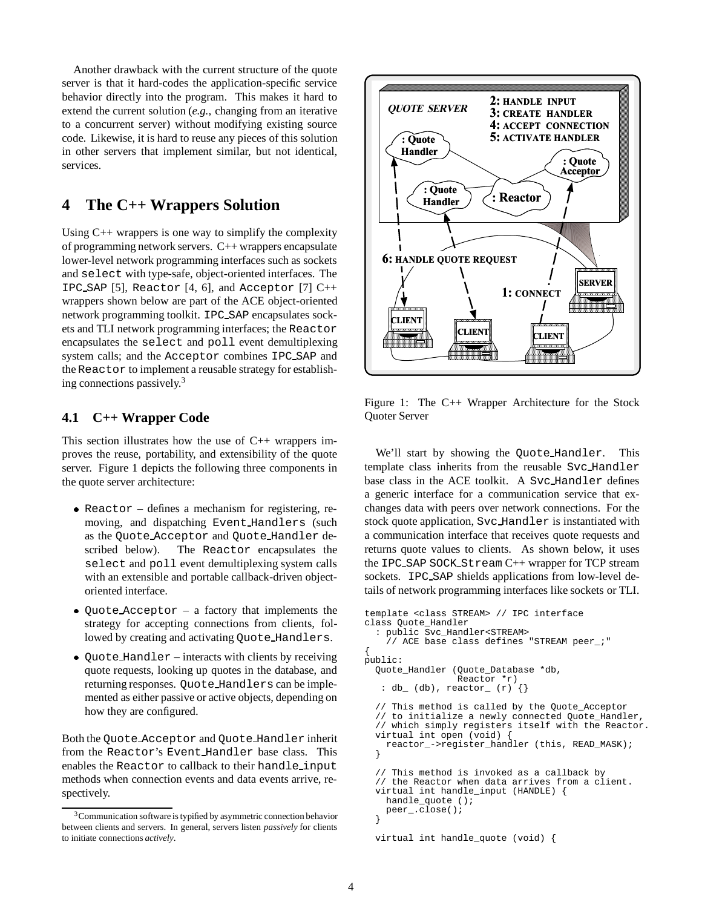Another drawback with the current structure of the quote server is that it hard-codes the application-specific service behavior directly into the program. This makes it hard to extend the current solution (*e.g.,* changing from an iterative to a concurrent server) without modifying existing source code. Likewise, it is hard to reuse any pieces of this solution in other servers that implement similar, but not identical, services.

# **4 The C++ Wrappers Solution**

Using  $C_{++}$  wrappers is one way to simplify the complexity of programming network servers. C++ wrappers encapsulate lower-level network programming interfaces such as sockets and select with type-safe, object-oriented interfaces. The IPC SAP  $[5]$ , Reactor  $[4, 6]$ , and Acceptor  $[7]$  C++ wrappers shown below are part of the ACE object-oriented network programming toolkit. IPC SAP encapsulates sockets and TLI network programming interfaces; the Reactor encapsulates the select and poll event demultiplexing system calls; and the Acceptor combines IPC SAP and the Reactor to implement a reusable strategy for establishing connections passively.3

### **4.1 C++ Wrapper Code**

This section illustrates how the use of  $C++$  wrappers improves the reuse, portability, and extensibility of the quote server. Figure 1 depicts the following three components in the quote server architecture:

- Reactor defines a mechanism for registering, removing, and dispatching Event Handlers (such as the Quote Acceptor and Quote Handler described below). The Reactor encapsulates the select and poll event demultiplexing system calls with an extensible and portable callback-driven objectoriented interface.
- Quote Acceptor a factory that implements the strategy for accepting connections from clients, followed by creating and activating Quote Handlers.
- Quote Handler interacts with clients by receiving quote requests, looking up quotes in the database, and returning responses. Quote Handlers can be implemented as either passive or active objects, depending on how they are configured.

Both the Quote Acceptor and Quote Handler inherit from the Reactor's Event Handler base class. This enables the Reactor to callback to their handle\_input methods when connection events and data events arrive, respectively.



Figure 1: The C++ Wrapper Architecture for the Stock Quoter Server

We'll start by showing the Quote Handler. This template class inherits from the reusable Svc Handler base class in the ACE toolkit. A Svc Handler defines a generic interface for a communication service that exchanges data with peers over network connections. For the stock quote application, Svc Handler is instantiated with a communication interface that receives quote requests and returns quote values to clients. As shown below, it uses the IPC SAP SOCK Stream C++ wrapper for TCP stream sockets. IPC SAP shields applications from low-level details of network programming interfaces like sockets or TLI.

```
template <class STREAM> // IPC interface
class Quote_Handler
  : public Svc_Handler<STREAM>
    // ACE base class defines "STREAM peer_;"
{
public:
 Quote_Handler (Quote_Database *db,
                 Reactor *r)
   : db_ (db), reactor_ (r) {}
  // This method is called by the Quote_Acceptor
  // to initialize a newly connected Quote_Handler,
  // which simply registers itself with the Reactor.
 virtual int open (void) {
    reactor_->register_handler (this, READ_MASK);
 }
 // This method is invoked as a callback by
 // the Reactor when data arrives from a client.
 virtual int handle_input (HANDLE) {
   handle_quote ();
   peer_.close();
  }
 virtual int handle_quote (void) {
```
<sup>&</sup>lt;sup>3</sup>Communication software is typified by asymmetric connection behavior between clients and servers. In general, servers listen *passively* for clients to initiate connections *actively*.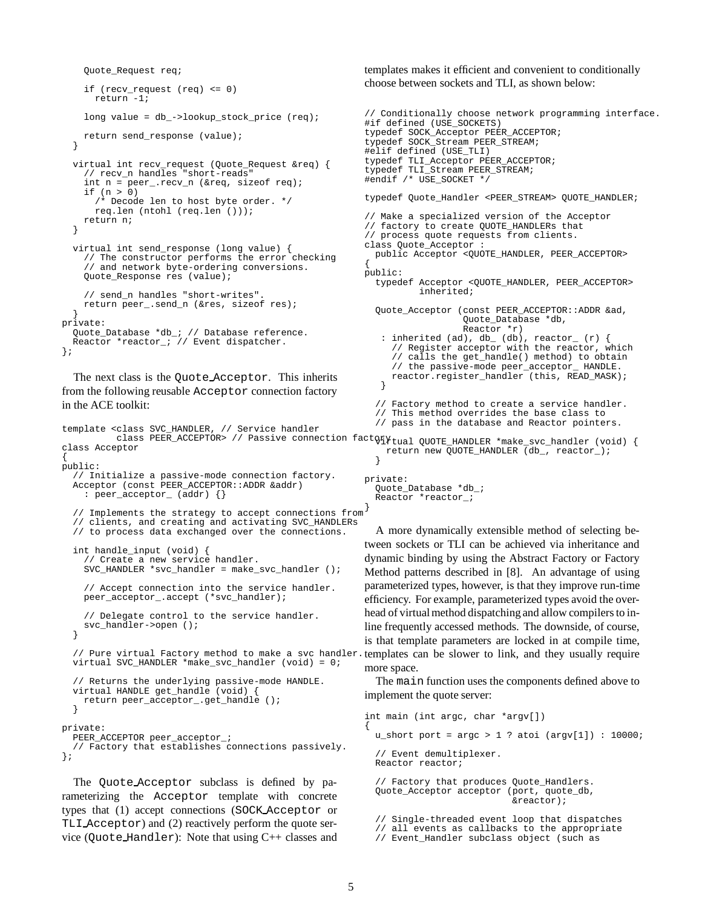```
Quote_Request req;
    if (recv_request (req) <= 0)
      return -1ilong value = db_->lookup_stock_price (req);
   return send response (value);
  }
  virtual int recv_request (Quote_Request &req) {
    // recv_n handles "short-reads"
    int n = peer_.recv_n (&req, sizeof req);
    if (n > 0)/* Decode len to host byte order. */
      req.len (ntohl (req.len ()));
   return n;
  }
  virtual int send_response (long value) {
    // The constructor performs the error checking
    // and network byte-ordering conversions.
    Quote_Response res (value);
    // send_n handles "short-writes".
   return peer_.send_n (&res, sizeof res);
  }
private:
  Quote_Database *db_; // Database reference.
 Reactor *reactor_; // Event dispatcher.
};
```
The next class is the Quote Acceptor. This inherits from the following reusable Acceptor connection factory in the ACE toolkit:

```
template <class SVC_HANDLER, // Service handler
          class PEER_ACCEPTOR> // Passive connection factOTYtual QUOTE_HANDLER *make_svc_handler (void) {
class Acceptor
{
public:
  // Initialize a passive-mode connection factory.
  Acceptor (const PEER_ACCEPTOR::ADDR &addr)
    : peer_acceptor_ (addr) {}
  // Implements the strategy to accept connections from
  // clients, and creating and activating SVC_HANDLERs
  // to process data exchanged over the connections.
  int handle_input (void) {
    // Create a new service handler.
    SVC_HANDLER *svc_handler = make_svc_handler ();
    // Accept connection into the service handler.
    peer_acceptor_.accept (*svc_handler);
    // Delegate control to the service handler.
    svc_handler->open ();
  }
  // Pure virtual Factory method to make a svc handler.
  virtual SVC_HANDLER *make_svc_handler (void) = 0;
  // Returns the underlying passive-mode HANDLE.
  virtual HANDLE get_handle (void) {
    return peer_acceptor_.get_handle ();
  }
private:
  PEER_ACCEPTOR peer_acceptor_;
  // Factory that establishes connections passively.
};
                                                           }
                                                         }
                                                         {
```
The Quote Acceptor subclass is defined by parameterizing the Acceptor template with concrete types that (1) accept connections (SOCK Acceptor or TLI Acceptor) and (2) reactively perform the quote service (Quote Handler): Note that using C++ classes and templates makes it efficient and convenient to conditionally choose between sockets and TLI, as shown below:

```
// Conditionally choose network programming interface.
#if defined (USE_SOCKETS)
typedef SOCK_Acceptor PEER_ACCEPTOR;
typedef SOCK_Stream PEER_STREAM;
#elif defined (USE_TLI)
typedef TLI_Acceptor PEER_ACCEPTOR;
typedef TLI_Stream PEER_STREAM;
#endif /* USE_SOCKET */
typedef Quote_Handler <PEER_STREAM> QUOTE_HANDLER;
// Make a specialized version of the Acceptor
// factory to create QUOTE_HANDLERs that
// process quote requests from clients.
class Quote_Acceptor :
 public Acceptor <QUOTE_HANDLER, PEER_ACCEPTOR>
{
public:
  typedef Acceptor <QUOTE_HANDLER, PEER_ACCEPTOR>
          inherited;
 Quote_Acceptor (const PEER_ACCEPTOR::ADDR &ad,
                  Quote_Database *db,
                  Reactor *r)
   : inherited (ad), db_ (db), reactor_ (r) {
     // Register acceptor with the reactor, which
     // calls the get_handle() method) to obtain
     // the passive-mode peer_acceptor_ HANDLE.
    reactor.register_handler (this, READ_MASK);
   }
  // Factory method to create a service handler.
  // This method overrides the base class to
  // pass in the database and Reactor pointers.
   return new QUOTE_HANDLER (db_, reactor_);
private:
```

```
Quote_Database *db_;
Reactor *reactor_;
```
A more dynamically extensible method of selecting between sockets or TLI can be achieved via inheritance and dynamic binding by using the Abstract Factory or Factory Method patterns described in [8]. An advantage of using parameterized types, however, is that they improve run-time efficiency. For example, parameterized types avoid the overhead of virtual method dispatching and allow compilers to inline frequently accessed methods. The downside, of course, is that template parameters are locked in at compile time, templates can be slower to link, and they usually require more space.

The main function uses the components defined above to implement the quote server:

```
int main (int argc, char *argv[])
 u_short port = argc > 1 ? atoi (argv[1]) : 10000;
  // Event demultiplexer.
 Reactor reactor;
  // Factory that produces Quote_Handlers.
 Quote_Acceptor acceptor (port, quote_db,
                           &reactor);
 // Single-threaded event loop that dispatches
    all events as callbacks to the appropriate
```

```
// Event_Handler subclass object (such as
```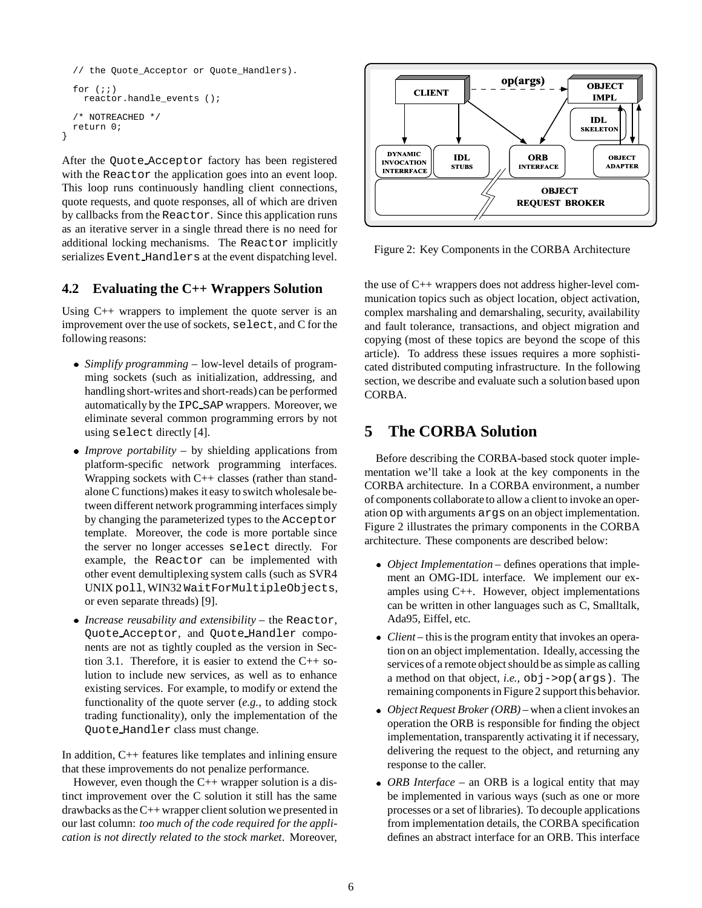```
// the Quote_Acceptor or Quote_Handlers).
for (i; j)reactor.handle_events ();
/* NOTREACHED */
return 0;
```
}

After the Quote Acceptor factory has been registered with the Reactor the application goes into an event loop. This loop runs continuously handling client connections, quote requests, and quote responses, all of which are driven by callbacks from the Reactor. Since this application runs as an iterative server in a single thread there is no need for additional locking mechanisms. The Reactor implicitly serializes Event Handlers at the event dispatching level.

## **4.2 Evaluating the C++ Wrappers Solution**

Using C++ wrappers to implement the quote server is an improvement over the use of sockets, select, and C for the following reasons:

- *Simplify programming* low-level details of programming sockets (such as initialization, addressing, and handling short-writes and short-reads) can be performed automatically by the IPC SAP wrappers. Moreover, we eliminate several common programming errors by not using select directly [4].
- *Improve portability* by shielding applications from platform-specific network programming interfaces. Wrapping sockets with  $C++$  classes (rather than standalone C functions) makes it easy to switch wholesale between different network programming interfaces simply by changing the parameterized types to the Acceptor template. Moreover, the code is more portable since the server no longer accesses select directly. For example, the Reactor can be implemented with other event demultiplexing system calls (such as SVR4 UNIX poll, WIN32 WaitForMultipleObjects, or even separate threads) [9].
- *Increase reusability and extensibility* the Reactor, Quote Acceptor, and Quote Handler components are not as tightly coupled as the version in Section 3.1. Therefore, it is easier to extend the C++ solution to include new services, as well as to enhance existing services. For example, to modify or extend the functionality of the quote server (*e.g.,* to adding stock trading functionality), only the implementation of the Quote Handler class must change.

In addition, C++ features like templates and inlining ensure that these improvements do not penalize performance.

However, even though the  $C++$  wrapper solution is a distinct improvement over the C solution it still has the same drawbacks as the C++ wrapper client solution we presented in our last column: *too much of the code required for the application is not directly related to the stock market*. Moreover,



Figure 2: Key Components in the CORBA Architecture

the use of C++ wrappers does not address higher-level communication topics such as object location, object activation, complex marshaling and demarshaling, security, availability and fault tolerance, transactions, and object migration and copying (most of these topics are beyond the scope of this article). To address these issues requires a more sophisticated distributed computing infrastructure. In the following section, we describe and evaluate such a solution based upon **CORBA** 

# **5 The CORBA Solution**

Before describing the CORBA-based stock quoter implementation we'll take a look at the key components in the CORBA architecture. In a CORBA environment, a number of components collaborate to allow a client to invoke an operation op with arguments args on an object implementation. Figure 2 illustrates the primary components in the CORBA architecture. These components are described below:

- *Object Implementation* defines operations that implement an OMG-IDL interface. We implement our examples using C++. However, object implementations can be written in other languages such as C, Smalltalk, Ada95, Eiffel, etc.
- *Client* this is the program entity that invokes an operation on an object implementation. Ideally, accessing the services of a remote object should be as simple as calling a method on that object, *i.e.,* obj->op(args). The remaining components in Figure 2 support this behavior.
- *Object Request Broker (ORB)* when a client invokes an operation the ORB is responsible for finding the object implementation, transparently activating it if necessary, delivering the request to the object, and returning any response to the caller.
- *ORB Interface* an ORB is a logical entity that may be implemented in various ways (such as one or more processes or a set of libraries). To decouple applications from implementation details, the CORBA specification defines an abstract interface for an ORB. This interface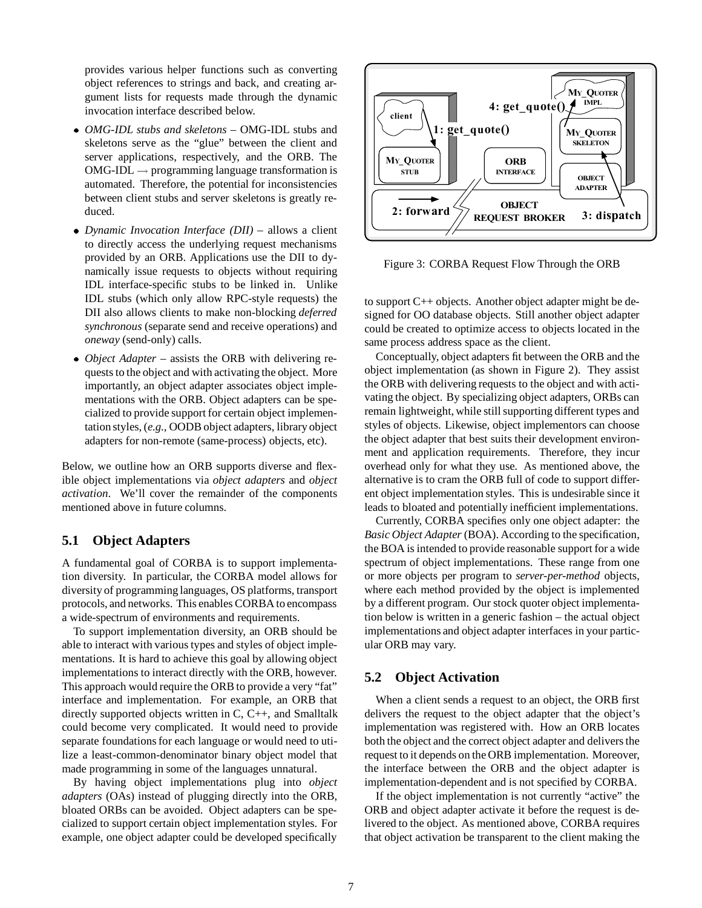provides various helper functions such as converting object references to strings and back, and creating argument lists for requests made through the dynamic invocation interface described below.

- *OMG-IDL stubs and skeletons* OMG-IDL stubs and skeletons serve as the "glue" between the client and server applications, respectively, and the ORB. The  $OMG-IDL \rightarrow programming$  language transformation is automated. Therefore, the potential for inconsistencies between client stubs and server skeletons is greatly reduced.
- *Dynamic Invocation Interface (DII)* allows a client to directly access the underlying request mechanisms provided by an ORB. Applications use the DII to dynamically issue requests to objects without requiring IDL interface-specific stubs to be linked in. Unlike IDL stubs (which only allow RPC-style requests) the DII also allows clients to make non-blocking *deferred synchronous* (separate send and receive operations) and *oneway* (send-only) calls.
- *Object Adapter* assists the ORB with delivering requests to the object and with activating the object. More importantly, an object adapter associates object implementations with the ORB. Object adapters can be specialized to provide support for certain object implementation styles, (*e.g.,* OODB object adapters, library object adapters for non-remote (same-process) objects, etc).

Below, we outline how an ORB supports diverse and flexible object implementations via *object adapters* and *object activation*. We'll cover the remainder of the components mentioned above in future columns.

### **5.1 Object Adapters**

A fundamental goal of CORBA is to support implementation diversity. In particular, the CORBA model allows for diversity of programming languages, OS platforms, transport protocols, and networks. This enables CORBA to encompass a wide-spectrum of environments and requirements.

To support implementation diversity, an ORB should be able to interact with various types and styles of object implementations. It is hard to achieve this goal by allowing object implementations to interact directly with the ORB, however. This approach would require the ORB to provide a very "fat" interface and implementation. For example, an ORB that directly supported objects written in C, C++, and Smalltalk could become very complicated. It would need to provide separate foundations for each language or would need to utilize a least-common-denominator binary object model that made programming in some of the languages unnatural.

By having object implementations plug into *object adapters* (OAs) instead of plugging directly into the ORB, bloated ORBs can be avoided. Object adapters can be specialized to support certain object implementation styles. For example, one object adapter could be developed specifically



Figure 3: CORBA Request Flow Through the ORB

to support C++ objects. Another object adapter might be designed for OO database objects. Still another object adapter could be created to optimize access to objects located in the same process address space as the client.

Conceptually, object adapters fit between the ORB and the object implementation (as shown in Figure 2). They assist the ORB with delivering requests to the object and with activating the object. By specializing object adapters, ORBs can remain lightweight, while still supporting different types and styles of objects. Likewise, object implementors can choose the object adapter that best suits their development environment and application requirements. Therefore, they incur overhead only for what they use. As mentioned above, the alternative is to cram the ORB full of code to support different object implementation styles. This is undesirable since it leads to bloated and potentially inefficient implementations.

Currently, CORBA specifies only one object adapter: the *Basic Object Adapter* (BOA). According to the specification, the BOA is intended to provide reasonable support for a wide spectrum of object implementations. These range from one or more objects per program to *server-per-method* objects, where each method provided by the object is implemented by a different program. Our stock quoter object implementation below is written in a generic fashion – the actual object implementations and object adapter interfaces in your particular ORB may vary.

#### **5.2 Object Activation**

When a client sends a request to an object, the ORB first delivers the request to the object adapter that the object's implementation was registered with. How an ORB locates both the object and the correct object adapter and delivers the request to it depends on the ORB implementation. Moreover, the interface between the ORB and the object adapter is implementation-dependent and is not specified by CORBA.

If the object implementation is not currently "active" the ORB and object adapter activate it before the request is delivered to the object. As mentioned above, CORBA requires that object activation be transparent to the client making the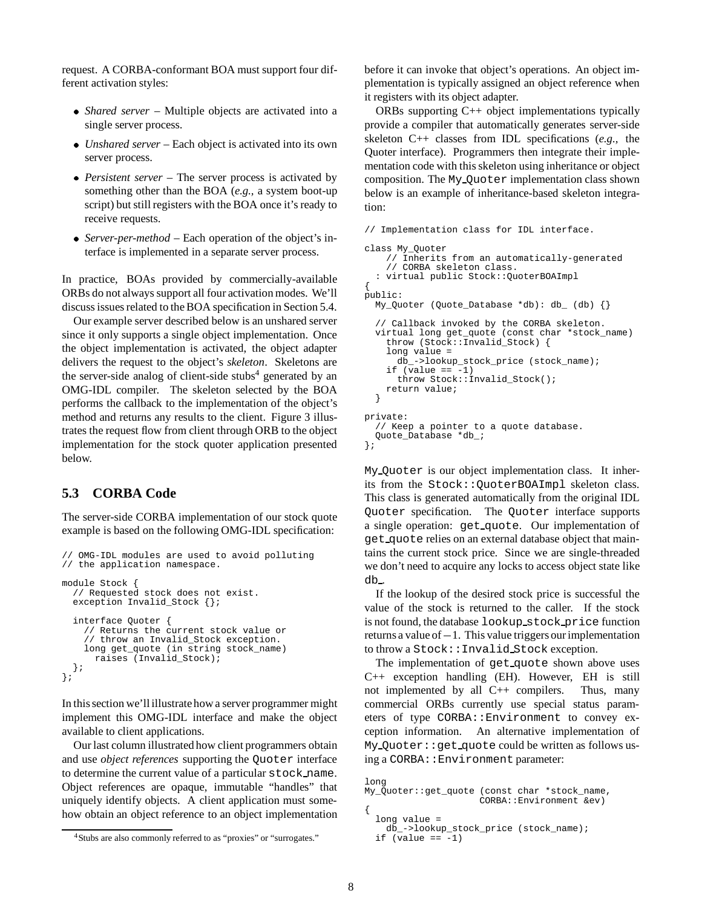request. A CORBA-conformant BOA must support four different activation styles:

- *Shared server* Multiple objects are activated into a single server process.
- *Unshared server* Each object is activated into its own server process.
- *Persistent server* The server process is activated by something other than the BOA (*e.g.,* a system boot-up script) but still registers with the BOA once it's ready to receive requests.
- *Server-per-method* Each operation of the object's interface is implemented in a separate server process.

In practice, BOAs provided by commercially-available ORBs do not always support all four activation modes. We'll discuss issues related to the BOA specification in Section 5.4.

Our example server described below is an unshared server since it only supports a single object implementation. Once the object implementation is activated, the object adapter delivers the request to the object's *skeleton*. Skeletons are the server-side analog of client-side stubs $4$  generated by an OMG-IDL compiler. The skeleton selected by the BOA performs the callback to the implementation of the object's method and returns any results to the client. Figure 3 illustrates the request flow from client through ORB to the object implementation for the stock quoter application presented below.

## **5.3 CORBA Code**

The server-side CORBA implementation of our stock quote example is based on the following OMG-IDL specification:

```
// OMG-IDL modules are used to avoid polluting
// the application namespace.
module Stock {
  // Requested stock does not exist.
  exception Invalid_Stock {};
  interface Quoter {
    // Returns the current stock value or
    // throw an Invalid_Stock exception.
    long get_quote (in string stock_name)
      raises (Invalid_Stock);
  };
};
```
In this section we'll illustrate how a server programmer might implement this OMG-IDL interface and make the object available to client applications.

Our last column illustrated how client programmers obtain and use *object references* supporting the Quoter interface to determine the current value of a particular stock name. Object references are opaque, immutable "handles" that uniquely identify objects. A client application must somehow obtain an object reference to an object implementation

before it can invoke that object's operations. An object implementation is typically assigned an object reference when it registers with its object adapter.

ORBs supporting C++ object implementations typically provide a compiler that automatically generates server-side skeleton C++ classes from IDL specifications (*e.g.,* the Quoter interface). Programmers then integrate their implementation code with this skeleton using inheritance or object composition. The My Quoter implementation class shown below is an example of inheritance-based skeleton integration:

```
// Implementation class for IDL interface.
class My_Quoter
    // Inherits from an automatically-generated
    // CORBA skeleton class.
  : virtual public Stock::QuoterBOAImpl
{
public:
 My_Quoter (Quote_Database *db): db_ (db) {}
  // Callback invoked by the CORBA skeleton.
  virtual long get_quote (const char *stock_name)
    throw (Stock::Invalid_Stock) {
    long value =
      db_->lookup_stock_price (stock_name);
    if (value == -1)
      throw Stock::Invalid_Stock();
    return value;
  }
private:
  // Keep a pointer to a quote database.
 Quote_Database *db_;
};
```
My Quoter is our object implementation class. It inherits from the Stock::QuoterBOAImpl skeleton class. This class is generated automatically from the original IDL Quoter specification. The Quoter interface supports a single operation: qet\_quote. Our implementation of get quote relies on an external database object that maintains the current stock price. Since we are single-threaded we don't need to acquire any locks to access object state like db .

If the lookup of the desired stock price is successful the value of the stock is returned to the caller. If the stock is not found, the database lookup stock price function returns a value of  $-1$ . This value triggers our implementation to throw a Stock::Invalid Stock exception.

The implementation of get quote shown above uses C++ exception handling (EH). However, EH is still not implemented by all C++ compilers. Thus, many commercial ORBs currently use special status parameters of type CORBA::Environment to convey exception information. An alternative implementation of My Quoter::get quote could be written as follows using a CORBA::Environment parameter:

```
long
My_Quoter::get_quote (const char *stock_name,
                      CORBA::Environment &ev)
{
  long value =
    db_->lookup_stock_price (stock_name);
  if (\text{value} == -1)
```
<sup>4</sup>Stubs are also commonly referred to as "proxies" or "surrogates."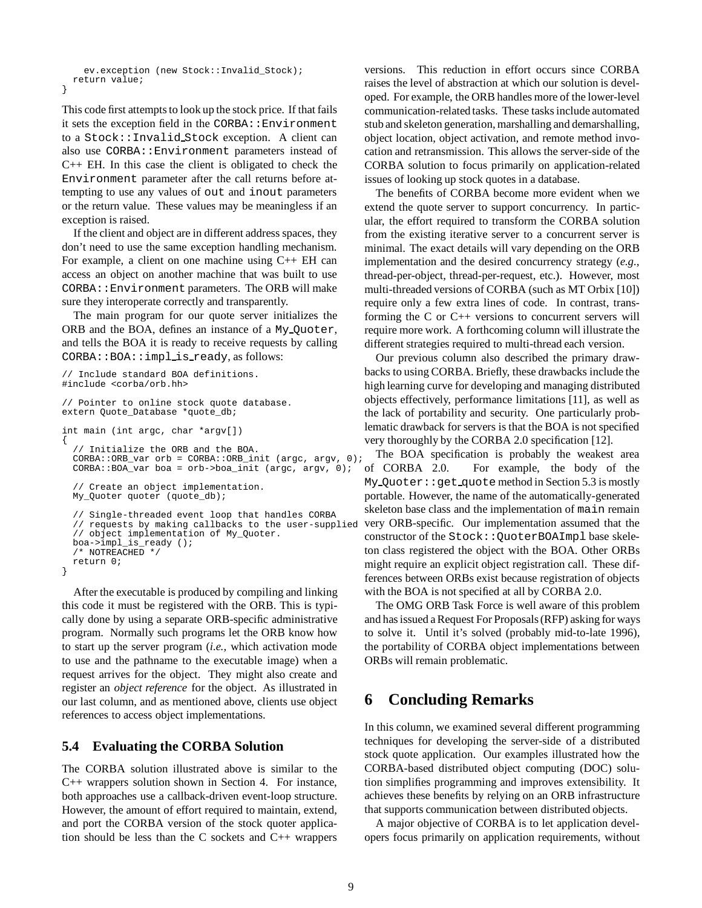```
ev.exception (new Stock::Invalid_Stock);
 return value;
}
```
This code first attempts to look up the stock price. If that fails it sets the exception field in the CORBA::Environment to a Stock::Invalid Stock exception. A client can also use CORBA::Environment parameters instead of C++ EH. In this case the client is obligated to check the Environment parameter after the call returns before attempting to use any values of out and inout parameters or the return value. These values may be meaningless if an exception is raised.

If the client and object are in different address spaces, they don't need to use the same exception handling mechanism. For example, a client on one machine using C++ EH can access an object on another machine that was built to use CORBA::Environment parameters. The ORB will make sure they interoperate correctly and transparently.

The main program for our quote server initializes the ORB and the BOA, defines an instance of a My Quoter, and tells the BOA it is ready to receive requests by calling CORBA::BOA::impl is ready, as follows:

```
// Include standard BOA definitions.
#include <corba/orb.hh>
// Pointer to online stock quote database.
extern Quote_Database *quote_db;
int main (int argc, char *argv[])
{
  // Initialize the ORB and the BOA.
  CORBA::ORB_var orb = CORBA::ORB_init (argc, argv, 0);<br>CORBA::BOA_var boa = orb->boa_init (argc, argv, 0); of
  CORBA::BOA_var boa = orb->boa_init (argc, argv, 0);
  // Create an object implementation.
  My Quoter quoter (quote db);
  // Single-threaded event loop that handles CORBA
  // requests by making callbacks to the user-supplied
  // object implementation of My_Quoter.
  boa->impl_is_ready ();
  /* NOTREACHED */
  return 0;
}
```
After the executable is produced by compiling and linking this code it must be registered with the ORB. This is typically done by using a separate ORB-specific administrative program. Normally such programs let the ORB know how to start up the server program (*i.e.,* which activation mode to use and the pathname to the executable image) when a request arrives for the object. They might also create and register an *object reference* for the object. As illustrated in our last column, and as mentioned above, clients use object references to access object implementations.

### **5.4 Evaluating the CORBA Solution**

The CORBA solution illustrated above is similar to the C++ wrappers solution shown in Section 4. For instance, both approaches use a callback-driven event-loop structure. However, the amount of effort required to maintain, extend, and port the CORBA version of the stock quoter application should be less than the C sockets and C++ wrappers versions. This reduction in effort occurs since CORBA raises the level of abstraction at which our solution is developed. For example, the ORB handles more of the lower-level communication-related tasks. These tasks include automated stub and skeleton generation, marshalling and demarshalling, object location, object activation, and remote method invocation and retransmission. This allows the server-side of the CORBA solution to focus primarily on application-related issues of looking up stock quotes in a database.

The benefits of CORBA become more evident when we extend the quote server to support concurrency. In particular, the effort required to transform the CORBA solution from the existing iterative server to a concurrent server is minimal. The exact details will vary depending on the ORB implementation and the desired concurrency strategy (*e.g.,* thread-per-object, thread-per-request, etc.). However, most multi-threaded versions of CORBA (such as MT Orbix [10]) require only a few extra lines of code. In contrast, transforming the C or C++ versions to concurrent servers will require more work. A forthcoming column will illustrate the different strategies required to multi-thread each version.

Our previous column also described the primary drawbacks to using CORBA. Briefly, these drawbacks include the high learning curve for developing and managing distributed objects effectively, performance limitations [11], as well as the lack of portability and security. One particularly problematic drawback for servers is that the BOA is not specified very thoroughly by the CORBA 2.0 specification [12].

The BOA specification is probably the weakest area CORBA 2.0. For example, the body of the My Quoter::get quote method in Section 5.3 is mostly portable. However, the name of the automatically-generated skeleton base class and the implementation of main remain very ORB-specific. Our implementation assumed that the constructor of the Stock::QuoterBOAImpl base skeleton class registered the object with the BOA. Other ORBs might require an explicit object registration call. These differences between ORBs exist because registration of objects with the BOA is not specified at all by CORBA 2.0.

The OMG ORB Task Force is well aware of this problem and has issued a Request For Proposals (RFP) asking for ways to solve it. Until it's solved (probably mid-to-late 1996), the portability of CORBA object implementations between ORBs will remain problematic.

# **6 Concluding Remarks**

In this column, we examined several different programming techniques for developing the server-side of a distributed stock quote application. Our examples illustrated how the CORBA-based distributed object computing (DOC) solution simplifies programming and improves extensibility. It achieves these benefits by relying on an ORB infrastructure that supports communication between distributed objects.

A major objective of CORBA is to let application developers focus primarily on application requirements, without